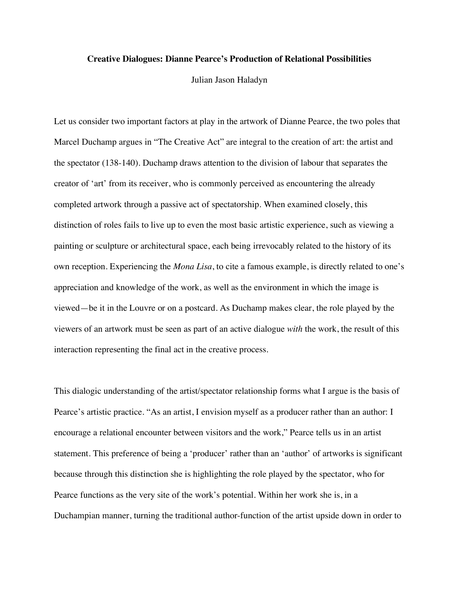## **Creative Dialogues: Dianne Pearce's Production of Relational Possibilities**

Julian Jason Haladyn

Let us consider two important factors at play in the artwork of Dianne Pearce, the two poles that Marcel Duchamp argues in "The Creative Act" are integral to the creation of art: the artist and the spectator (138-140). Duchamp draws attention to the division of labour that separates the creator of 'art' from its receiver, who is commonly perceived as encountering the already completed artwork through a passive act of spectatorship. When examined closely, this distinction of roles fails to live up to even the most basic artistic experience, such as viewing a painting or sculpture or architectural space, each being irrevocably related to the history of its own reception. Experiencing the *Mona Lisa*, to cite a famous example, is directly related to one's appreciation and knowledge of the work, as well as the environment in which the image is viewed—be it in the Louvre or on a postcard. As Duchamp makes clear, the role played by the viewers of an artwork must be seen as part of an active dialogue *with* the work, the result of this interaction representing the final act in the creative process.

This dialogic understanding of the artist/spectator relationship forms what I argue is the basis of Pearce's artistic practice. "As an artist, I envision myself as a producer rather than an author: I encourage a relational encounter between visitors and the work," Pearce tells us in an artist statement. This preference of being a 'producer' rather than an 'author' of artworks is significant because through this distinction she is highlighting the role played by the spectator, who for Pearce functions as the very site of the work's potential. Within her work she is, in a Duchampian manner, turning the traditional author-function of the artist upside down in order to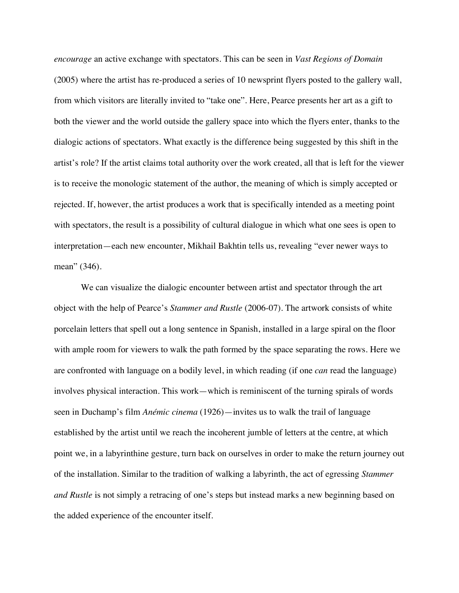*encourage* an active exchange with spectators. This can be seen in *Vast Regions of Domain*  (2005) where the artist has re-produced a series of 10 newsprint flyers posted to the gallery wall, from which visitors are literally invited to "take one". Here, Pearce presents her art as a gift to both the viewer and the world outside the gallery space into which the flyers enter, thanks to the dialogic actions of spectators. What exactly is the difference being suggested by this shift in the artist's role? If the artist claims total authority over the work created, all that is left for the viewer is to receive the monologic statement of the author, the meaning of which is simply accepted or rejected. If, however, the artist produces a work that is specifically intended as a meeting point with spectators, the result is a possibility of cultural dialogue in which what one sees is open to interpretation—each new encounter, Mikhail Bakhtin tells us, revealing "ever newer ways to mean" (346).

We can visualize the dialogic encounter between artist and spectator through the art object with the help of Pearce's *Stammer and Rustle* (2006-07). The artwork consists of white porcelain letters that spell out a long sentence in Spanish, installed in a large spiral on the floor with ample room for viewers to walk the path formed by the space separating the rows. Here we are confronted with language on a bodily level, in which reading (if one *can* read the language) involves physical interaction. This work—which is reminiscent of the turning spirals of words seen in Duchamp's film *Anémic cinema* (1926)—invites us to walk the trail of language established by the artist until we reach the incoherent jumble of letters at the centre, at which point we, in a labyrinthine gesture, turn back on ourselves in order to make the return journey out of the installation. Similar to the tradition of walking a labyrinth, the act of egressing *Stammer and Rustle* is not simply a retracing of one's steps but instead marks a new beginning based on the added experience of the encounter itself.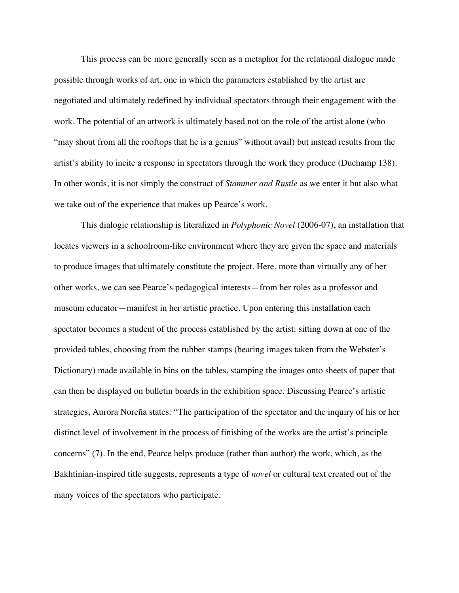This process can be more generally seen as a metaphor for the relational dialogue made possible through works of art, one in which the parameters established by the artist are negotiated and ultimately redefined by individual spectators through their engagement with the work. The potential of an artwork is ultimately based not on the role of the artist alone (who "may shout from all the rooftops that he is a genius" without avail) but instead results from the artist's ability to incite a response in spectators through the work they produce (Duchamp 138). In other words, it is not simply the construct of *Stammer and Rustle* as we enter it but also what we take out of the experience that makes up Pearce's work.

This dialogic relationship is literalized in *Polyphonic Novel* (2006-07), an installation that locates viewers in a schoolroom-like environment where they are given the space and materials to produce images that ultimately constitute the project. Here, more than virtually any of her other works, we can see Pearce's pedagogical interests—from her roles as a professor and museum educator—manifest in her artistic practice. Upon entering this installation each spectator becomes a student of the process established by the artist: sitting down at one of the provided tables, choosing from the rubber stamps (bearing images taken from the Webster's Dictionary) made available in bins on the tables, stamping the images onto sheets of paper that can then be displayed on bulletin boards in the exhibition space. Discussing Pearce's artistic strategies, Aurora Noreña states: "The participation of the spectator and the inquiry of his or her distinct level of involvement in the process of finishing of the works are the artist's principle concerns" (7). In the end, Pearce helps produce (rather than author) the work, which, as the Bakhtinian-inspired title suggests, represents a type of *novel* or cultural text created out of the many voices of the spectators who participate.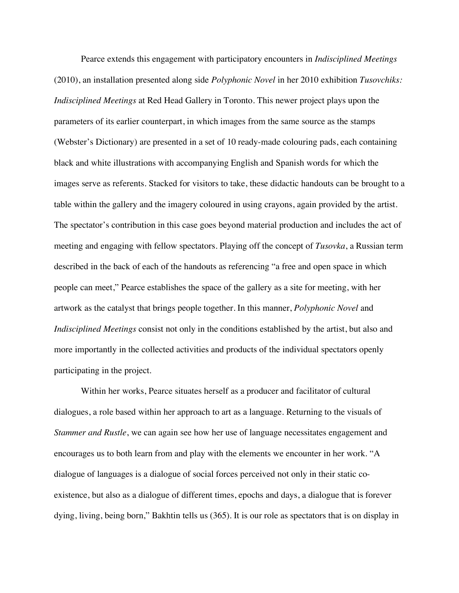Pearce extends this engagement with participatory encounters in *Indisciplined Meetings* (2010), an installation presented along side *Polyphonic Novel* in her 2010 exhibition *Tusovchiks: Indisciplined Meetings* at Red Head Gallery in Toronto. This newer project plays upon the parameters of its earlier counterpart, in which images from the same source as the stamps (Webster's Dictionary) are presented in a set of 10 ready-made colouring pads, each containing black and white illustrations with accompanying English and Spanish words for which the images serve as referents. Stacked for visitors to take, these didactic handouts can be brought to a table within the gallery and the imagery coloured in using crayons, again provided by the artist. The spectator's contribution in this case goes beyond material production and includes the act of meeting and engaging with fellow spectators. Playing off the concept of *Tusovka*, a Russian term described in the back of each of the handouts as referencing "a free and open space in which people can meet," Pearce establishes the space of the gallery as a site for meeting, with her artwork as the catalyst that brings people together. In this manner, *Polyphonic Novel* and *Indisciplined Meetings* consist not only in the conditions established by the artist, but also and more importantly in the collected activities and products of the individual spectators openly participating in the project.

Within her works, Pearce situates herself as a producer and facilitator of cultural dialogues, a role based within her approach to art as a language. Returning to the visuals of *Stammer and Rustle*, we can again see how her use of language necessitates engagement and encourages us to both learn from and play with the elements we encounter in her work. "A dialogue of languages is a dialogue of social forces perceived not only in their static coexistence, but also as a dialogue of different times, epochs and days, a dialogue that is forever dying, living, being born," Bakhtin tells us (365). It is our role as spectators that is on display in